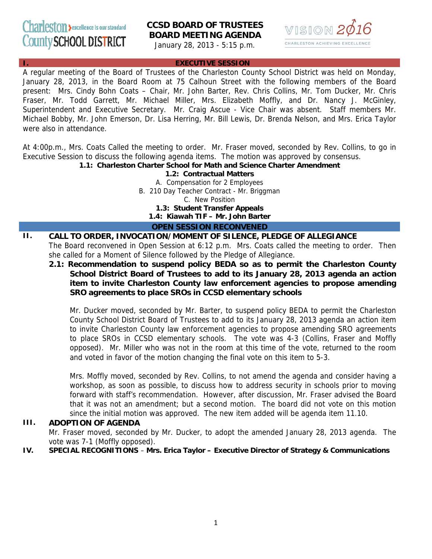# **PSTON** >excellence is our standard County SCHOOL DISTRICT

# **CCSD BOARD OF TRUSTEES BOARD MEETING AGENDA**

January 28, 2013 - 5:15 p.m.



#### **EXECUTIVE SESSION**

A regular meeting of the Board of Trustees of the Charleston County School District was held on Monday, January 28, 2013, in the Board Room at 75 Calhoun Street with the following members of the Board present: Mrs. Cindy Bohn Coats – Chair, Mr. John Barter, Rev. Chris Collins, Mr. Tom Ducker, Mr. Chris Fraser, Mr. Todd Garrett, Mr. Michael Miller, Mrs. Elizabeth Moffly, and Dr. Nancy J. McGinley, Superintendent and Executive Secretary. Mr. Craig Ascue - Vice Chair was absent. Staff members Mr. Michael Bobby, Mr. John Emerson, Dr. Lisa Herring, Mr. Bill Lewis, Dr. Brenda Nelson, and Mrs. Erica Taylor were also in attendance.

At 4:00p.m., Mrs. Coats Called the meeting to order. Mr. Fraser moved, seconded by Rev. Collins, to go in Executive Session to discuss the following agenda items. The motion was approved by consensus.

**1.1: Charleston Charter School for Math and Science Charter Amendment**

**1.2: Contractual Matters**  A. Compensation for 2 Employees B. 210 Day Teacher Contract - Mr. Briggman C. New Position **1.3: Student Transfer Appeals 1.4: Kiawah TIF – Mr. John Barter**

**OPEN SESSION RECONVENED**

#### **II. CALL TO ORDER, INVOCATION/MOMENT OF SILENCE, PLEDGE OF ALLEGIANCE**  The Board reconvened in Open Session at 6:12 p.m. Mrs. Coats called the meeting to order. Then she called for a Moment of Silence followed by the Pledge of Allegiance.

**2.1: Recommendation to suspend policy BEDA so as to permit the Charleston County School District Board of Trustees to add to its January 28, 2013 agenda an action item to invite Charleston County law enforcement agencies to propose amending SRO agreements to place SROs in CCSD elementary schools**

Mr. Ducker moved, seconded by Mr. Barter, to suspend policy BEDA to permit the Charleston County School District Board of Trustees to add to its January 28, 2013 agenda an action item to invite Charleston County law enforcement agencies to propose amending SRO agreements to place SROs in CCSD elementary schools. The vote was 4-3 (Collins, Fraser and Moffly opposed). Mr. Miller who was not in the room at this time of the vote, returned to the room and voted in favor of the motion changing the final vote on this item to 5-3.

Mrs. Moffly moved, seconded by Rev. Collins, to not amend the agenda and consider having a workshop, as soon as possible, to discuss how to address security in schools prior to moving forward with staff's recommendation. However, after discussion, Mr. Fraser advised the Board that it was not an amendment; but a second motion. The board did not vote on this motion since the initial motion was approved. The new item added will be agenda item 11.10.

## **III. ADOPTION OF AGENDA**

Mr. Fraser moved, seconded by Mr. Ducker, to adopt the amended January 28, 2013 agenda. The vote was 7-1 (Moffly opposed).

**IV. SPECIAL RECOGNITIONS** – **Mrs. Erica Taylor – Executive Director of Strategy & Communications**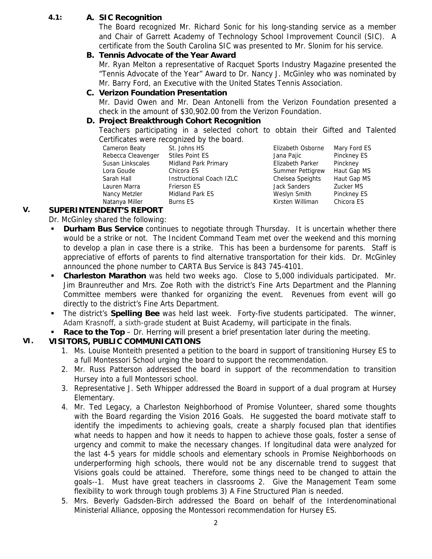## **4.1: A. SIC Recognition**

The Board recognized Mr. Richard Sonic for his long-standing service as a member and Chair of Garrett Academy of Technology School Improvement Council (SIC). A certificate from the South Carolina SIC was presented to Mr. Slonim for his service.

## **B. Tennis Advocate of the Year Award**

Mr. Ryan Melton a representative of Racquet Sports Industry Magazine presented the "Tennis Advocate of the Year" Award to Dr. Nancy J. McGinley who was nominated by Mr. Barry Ford, an Executive with the United States Tennis Association.

#### **C. Verizon Foundation Presentation**

Mr. David Owen and Mr. Dean Antonelli from the Verizon Foundation presented a check in the amount of \$30,902.00 from the Verizon Foundation.

## **D. Project Breakthrough Cohort Recognition**

Teachers participating in a selected cohort to obtain their Gifted and Talented Certificates were recognized by the board.

Cameron Beaty St. Johns HS Elizabeth Osborne Mary Ford ES Natanya Miller Burns ES Kirsten Williman Chicora ES

Rebecca Cleavenger Stiles Point ES Jana Pajic Pinckney ES Susan Linkscales Midland Park Primary Elizabeth Parker Pinckney Lora Goude Chicora ES Summer Pettigrew Haut Gap MS Sarah Hall **Instructional Coach IZLC** Chelsea Speights Haut Gap MS Lauren Marra Frierson ES Jack Sanders Zucker MS Nancy Metzler Midland Park ES Weslyn Smith Pinckney ES

## **V. SUPERINTENDENT'S REPORT**

- Dr. McGinley shared the following:
- **Durham Bus Service** continues to negotiate through Thursday. It is uncertain whether there would be a strike or not. The Incident Command Team met over the weekend and this morning to develop a plan in case there is a strike. This has been a burdensome for parents. Staff is appreciative of efforts of parents to find alternative transportation for their kids. Dr. McGinley announced the phone number to CARTA Bus Service is 843 745-4101.
- **Charleston Marathon** was held two weeks ago. Close to 5,000 individuals participated. Mr. Jim Braunreuther and Mrs. Zoe Roth with the district's Fine Arts Department and the Planning Committee members were thanked for organizing the event. Revenues from event will go directly to the district's Fine Arts Department.
- The district's **Spelling Bee** was held last week. Forty-five students participated. The winner, Adam Krasnoff, a sixth-grade student at Buist Academy, will participate in the finals.
- **Race to the Top** Dr. Herring will present a brief presentation later during the meeting.

## **VI. VISITORS, PUBLIC COMMUNICATIONS**

- 1. Ms. Louise Monteith presented a petition to the board in support of transitioning Hursey ES to a full Montessori School urging the board to support the recommendation.
- 2. Mr. Russ Patterson addressed the board in support of the recommendation to transition Hursey into a full Montessori school.
- 3. Representative J. Seth Whipper addressed the Board in support of a dual program at Hursey Elementary.
- 4. Mr. Ted Legacy, a Charleston Neighborhood of Promise Volunteer, shared some thoughts with the Board regarding the Vision 2016 Goals. He suggested the board motivate staff to identify the impediments to achieving goals, create a sharply focused plan that identifies what needs to happen and how it needs to happen to achieve those goals, foster a sense of urgency and commit to make the necessary changes. If longitudinal data were analyzed for the last 4-5 years for middle schools and elementary schools in Promise Neighborhoods on underperforming high schools, there would not be any discernable trend to suggest that Visions goals could be attained. Therefore, some things need to be changed to attain the goals--1. Must have great teachers in classrooms 2. Give the Management Team some flexibility to work through tough problems 3) A Fine Structured Plan is needed.
- 5. Mrs. Beverly Gadsden-Birch addressed the Board on behalf of the Interdenominational Ministerial Alliance, opposing the Montessori recommendation for Hursey ES.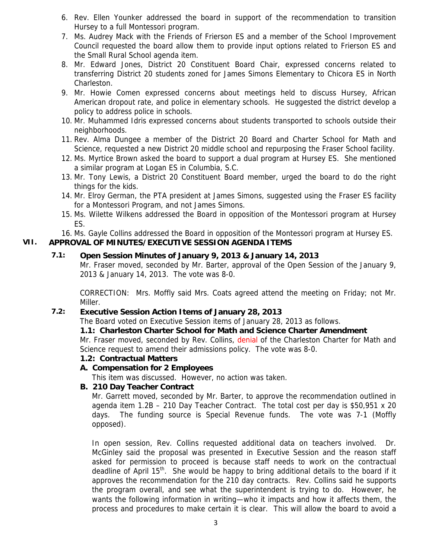- 6. Rev. Ellen Younker addressed the board in support of the recommendation to transition Hursey to a full Montessori program.
- 7. Ms. Audrey Mack with the Friends of Frierson ES and a member of the School Improvement Council requested the board allow them to provide input options related to Frierson ES and the Small Rural School agenda item.
- 8. Mr. Edward Jones, District 20 Constituent Board Chair, expressed concerns related to transferring District 20 students zoned for James Simons Elementary to Chicora ES in North Charleston.
- 9. Mr. Howie Comen expressed concerns about meetings held to discuss Hursey, African American dropout rate, and police in elementary schools. He suggested the district develop a policy to address police in schools.
- 10. Mr. Muhammed Idris expressed concerns about students transported to schools outside their neighborhoods.
- 11. Rev. Alma Dungee a member of the District 20 Board and Charter School for Math and Science, requested a new District 20 middle school and repurposing the Fraser School facility.
- 12. Ms. Myrtice Brown asked the board to support a dual program at Hursey ES. She mentioned a similar program at Logan ES in Columbia, S.C.
- 13. Mr. Tony Lewis, a District 20 Constituent Board member, urged the board to do the right things for the kids.
- 14. Mr. Elroy German, the PTA president at James Simons, suggested using the Fraser ES facility for a Montessori Program, and not James Simons.
- 15. Ms. Wilette Wilkens addressed the Board in opposition of the Montessori program at Hursey ES.
- 16. Ms. Gayle Collins addressed the Board in opposition of the Montessori program at Hursey ES.

## **VII. APPROVAL OF MINUTES/EXECUTIVE SESSION AGENDA ITEMS**

## **7.1: Open Session Minutes of January 9, 2013 & January 14, 2013**

Mr. Fraser moved, seconded by Mr. Barter, approval of the Open Session of the January 9, 2013 & January 14, 2013. The vote was 8-0.

CORRECTION: Mrs. Moffly said Mrs. Coats agreed attend the meeting on Friday; not Mr. Miller.

#### **7.2: Executive Session Action Items of January 28, 2013**

The Board voted on Executive Session items of January 28, 2013 as follows.

#### **1.1: Charleston Charter School for Math and Science Charter Amendment**

Mr. Fraser moved, seconded by Rev. Collins, denial of the Charleston Charter for Math and Science request to amend their admissions policy. The vote was 8-0.

#### **1.2: Contractual Matters**

#### **A. Compensation for 2 Employees**

This item was discussed. However, no action was taken.

#### **B. 210 Day Teacher Contract**

Mr. Garrett moved, seconded by Mr. Barter, to approve the recommendation outlined in agenda item 1.2B – 210 Day Teacher Contract. The total cost per day is \$50,951 x 20 days. The funding source is Special Revenue funds. The vote was 7-1 (Moffly opposed).

In open session, Rev. Collins requested additional data on teachers involved. Dr. McGinley said the proposal was presented in Executive Session and the reason staff asked for permission to proceed is because staff needs to work on the contractual deadline of April 15<sup>th</sup>. She would be happy to bring additional details to the board if it approves the recommendation for the 210 day contracts. Rev. Collins said he supports the program overall, and see what the superintendent is trying to do. However, he wants the following information in writing—who it impacts and how it affects them, the process and procedures to make certain it is clear. This will allow the board to avoid a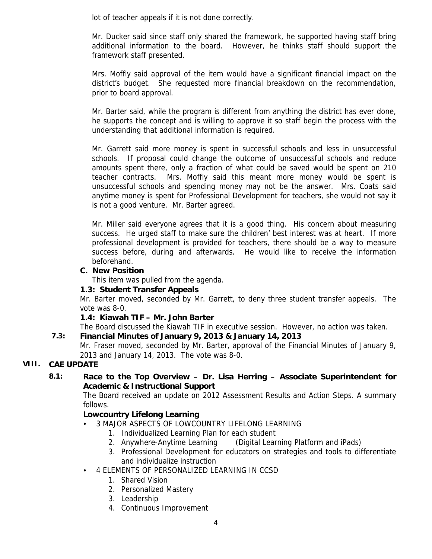lot of teacher appeals if it is not done correctly.

Mr. Ducker said since staff only shared the framework, he supported having staff bring additional information to the board. However, he thinks staff should support the framework staff presented.

Mrs. Moffly said approval of the item would have a significant financial impact on the district's budget. She requested more financial breakdown on the recommendation, prior to board approval.

Mr. Barter said, while the program is different from anything the district has ever done, he supports the concept and is willing to approve it so staff begin the process with the understanding that additional information is required.

Mr. Garrett said more money is spent in successful schools and less in unsuccessful schools. If proposal could change the outcome of unsuccessful schools and reduce amounts spent there, only a fraction of what could be saved would be spent on 210 teacher contracts. Mrs. Moffly said this meant more money would be spent is unsuccessful schools and spending money may not be the answer. Mrs. Coats said anytime money is spent for Professional Development for teachers, she would not say it is not a good venture. Mr. Barter agreed.

Mr. Miller said everyone agrees that it is a good thing. His concern about measuring success. He urged staff to make sure the children' best interest was at heart. If more professional development is provided for teachers, there should be a way to measure success before, during and afterwards. He would like to receive the information beforehand.

#### **C. New Position**

This item was pulled from the agenda.

#### **1.3: Student Transfer Appeals**

Mr. Barter moved, seconded by Mr. Garrett, to deny three student transfer appeals. The vote was 8-0.

## **1.4: Kiawah TIF – Mr. John Barter**

The Board discussed the Kiawah TIF in executive session. However, no action was taken.

## **7.3: Financial Minutes of January 9, 2013 & January 14, 2013**

Mr. Fraser moved, seconded by Mr. Barter, approval of the Financial Minutes of January 9, 2013 and January 14, 2013. The vote was 8-0.

## **VIII. CAE UPDATE**

## **8.1: Race to the Top Overview – Dr. Lisa Herring – Associate Superintendent for Academic & Instructional Support**

The Board received an update on 2012 Assessment Results and Action Steps. A summary follows.

## **Lowcountry Lifelong Learning**

- 3 MAJOR ASPECTS OF LOWCOUNTRY LIFELONG LEARNING
	- 1. Individualized Learning Plan for each student
	- 2. Anywhere-Anytime Learning (Digital Learning Platform and iPads)
	- 3. Professional Development for educators on strategies and tools to differentiate and individualize instruction
- 4 ELEMENTS OF PERSONALIZED LEARNING IN CCSD
	- 1. Shared Vision
	- 2. Personalized Mastery
	- 3. Leadership
	- 4. Continuous Improvement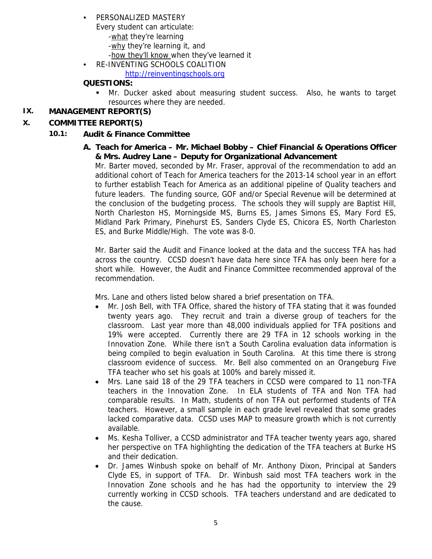#### • PERSONALIZED MASTERY

- Every student can articulate: -what they're learning -why they're learning it, and -how they'll know when they've learned it
- RE-INVENTING SCHOOLS COALITION

http://reinventingschools.org

## **QUESTIONS:**

 Mr. Ducker asked about measuring student success. Also, he wants to target resources where they are needed.

## **IX. MANAGEMENT REPORT(S)**

#### **X. COMMITTEE REPORT(S)**

## **10.1: Audit & Finance Committee**

 **A. Teach for America – Mr. Michael Bobby – Chief Financial & Operations Officer & Mrs. Audrey Lane – Deputy for Organizational Advancement** 

Mr. Barter moved, seconded by Mr. Fraser, approval of the recommendation to add an additional cohort of Teach for America teachers for the 2013-14 school year in an effort to further establish Teach for America as an additional pipeline of Quality teachers and future leaders. The funding source, GOF and/or Special Revenue will be determined at the conclusion of the budgeting process. The schools they will supply are Baptist Hill, North Charleston HS, Morningside MS, Burns ES, James Simons ES, Mary Ford ES, Midland Park Primary, Pinehurst ES, Sanders Clyde ES, Chicora ES, North Charleston ES, and Burke Middle/High. The vote was 8-0.

Mr. Barter said the Audit and Finance looked at the data and the success TFA has had across the country. CCSD doesn't have data here since TFA has only been here for a short while. However, the Audit and Finance Committee recommended approval of the recommendation.

Mrs. Lane and others listed below shared a brief presentation on TFA.

- Mr. Josh Bell, with TFA Office, shared the history of TFA stating that it was founded twenty years ago. They recruit and train a diverse group of teachers for the classroom. Last year more than 48,000 individuals applied for TFA positions and 19% were accepted. Currently there are 29 TFA in 12 schools working in the Innovation Zone. While there isn't a South Carolina evaluation data information is being compiled to begin evaluation in South Carolina. At this time there is strong classroom evidence of success. Mr. Bell also commented on an Orangeburg Five TFA teacher who set his goals at 100% and barely missed it.
- Mrs. Lane said 18 of the 29 TFA teachers in CCSD were compared to 11 non-TFA teachers in the Innovation Zone. In ELA students of TFA and Non TFA had comparable results. In Math, students of non TFA out performed students of TFA teachers. However, a small sample in each grade level revealed that some grades lacked comparative data. CCSD uses MAP to measure growth which is not currently available.
- Ms. Kesha Tolliver, a CCSD administrator and TFA teacher twenty years ago, shared her perspective on TFA highlighting the dedication of the TFA teachers at Burke HS and their dedication.
- Dr. James Winbush spoke on behalf of Mr. Anthony Dixon, Principal at Sanders Clyde ES, in support of TFA. Dr. Winbush said most TFA teachers work in the Innovation Zone schools and he has had the opportunity to interview the 29 currently working in CCSD schools. TFA teachers understand and are dedicated to the cause.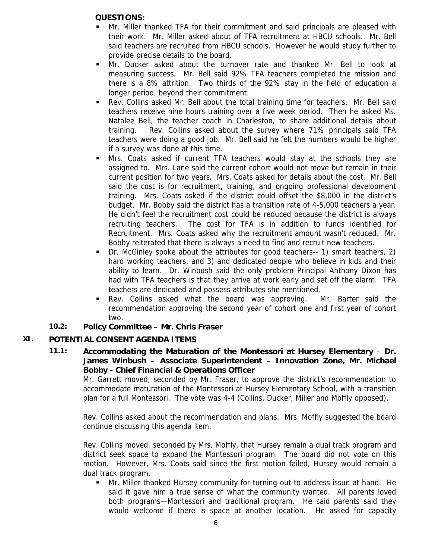#### **QUESTIONS:**

- Mr. Miller thanked TFA for their commitment and said principals are pleased with their work. Mr. Miller asked about of TFA recruitment at HBCU schools. Mr. Bell said teachers are recruited from HBCU schools. However he would study further to provide precise details to the board.
- Mr. Ducker asked about the turnover rate and thanked Mr. Bell to look at measuring success. Mr. Bell said 92% TFA teachers completed the mission and there is a 8% attrition. Two thirds of the 92% stay in the field of education a longer period, beyond their commitment.
- Rev. Collins asked Mr. Bell about the total training time for teachers. Mr. Bell said teachers receive nine hours training over a five week period. Then he asked Ms. Natalee Bell, the teacher coach in Charleston, to share additional details about training. Rev. Collins asked about the survey where 71% principals said TFA teachers were doing a good job. Mr. Bell said he felt the numbers would be higher if a survey was done at this time.
- Mrs. Coats asked if current TFA teachers would stay at the schools they are assigned to. Mrs. Lane said the current cohort would not move but remain in their current position for two years. Mrs. Coats asked for details about the cost. Mr. Bell said the cost is for recruitment, training, and ongoing professional development training. Mrs. Coats asked if the district could offset the \$8,000 in the district's budget. Mr. Bobby said the district has a transition rate of 4-5,000 teachers a year. He didn't feel the recruitment cost could be reduced because the district is always recruiting teachers. The cost for TFA is in addition to funds identified for Recruitment. Mrs. Coats asked why the recruitment amount wasn't reduced. Mr. Bobby reiterated that there is always a need to find and recruit new teachers.
- Dr. McGinley spoke about the attributes for good teachers-- 1) smart teachers, 2) hard working teachers, and 3) and dedicated people who believe in kids and their ability to learn. Dr. Winbush said the only problem Principal Anthony Dixon has had with TFA teachers is that they arrive at work early and set off the alarm. TFA teachers are dedicated and possess attributes she mentioned.
- Rev. Collins asked what the board was approving. Mr. Barter said the recommendation approving the second year of cohort one and first year of cohort two.

## **10.2: Policy Committee – Mr. Chris Fraser**

## **XI. POTENTIAL CONSENT AGENDA ITEMS**

**11.1: Accommodating the Maturation of the Montessori at Hursey Elementary** – **Dr. James Winbush – Associate Superintendent – Innovation Zone, Mr. Michael Bobby - Chief Financial & Operations Officer** 

Mr. Garrett moved, seconded by Mr. Fraser, to approve the district's recommendation to accommodate maturation of the Montessori at Hursey Elementary School, with a transition plan for a full Montessori. The vote was 4-4 (Collins, Ducker, Miller and Moffly opposed).

Rev. Collins asked about the recommendation and plans. Mrs. Moffly suggested the board continue discussing this agenda item.

Rev. Collins moved, seconded by Mrs. Moffly, that Hursey remain a dual track program and district seek space to expand the Montessori program. The board did not vote on this motion. However, Mrs. Coats said since the first motion failed, Hursey would remain a dual track program.

 Mr. Miller thanked Hursey community for turning out to address issue at hand. He said it gave him a true sense of what the community wanted. All parents loved both programs—Montessori and traditional program. He said parents said they would welcome if there is space at another location. He asked for capacity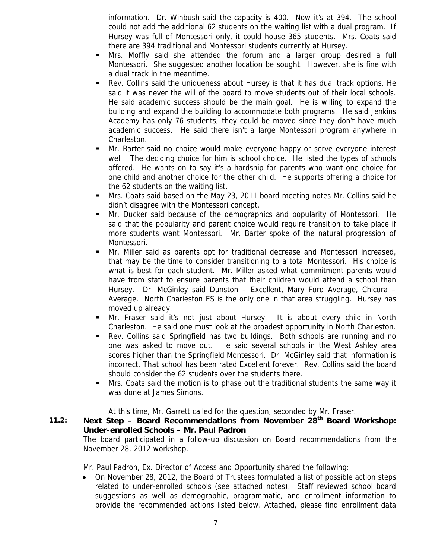information. Dr. Winbush said the capacity is 400. Now it's at 394. The school could not add the additional 62 students on the waiting list with a dual program. If Hursey was full of Montessori only, it could house 365 students. Mrs. Coats said there are 394 traditional and Montessori students currently at Hursey.

- Mrs. Moffly said she attended the forum and a larger group desired a full Montessori. She suggested another location be sought. However, she is fine with a dual track in the meantime.
- Rev. Collins said the uniqueness about Hursey is that it has dual track options. He said it was never the will of the board to move students out of their local schools. He said academic success should be the main goal. He is willing to expand the building and expand the building to accommodate both programs. He said Jenkins Academy has only 76 students; they could be moved since they don't have much academic success. He said there isn't a large Montessori program anywhere in Charleston.
- Mr. Barter said no choice would make everyone happy or serve everyone interest well. The deciding choice for him is school choice. He listed the types of schools offered. He wants on to say it's a hardship for parents who want one choice for one child and another choice for the other child. He supports offering a choice for the 62 students on the waiting list.
- Mrs. Coats said based on the May 23, 2011 board meeting notes Mr. Collins said he didn't disagree with the Montessori concept.
- Mr. Ducker said because of the demographics and popularity of Montessori. He said that the popularity and parent choice would require transition to take place if more students want Montessori. Mr. Barter spoke of the natural progression of Montessori.
- Mr. Miller said as parents opt for traditional decrease and Montessori increased, that may be the time to consider transitioning to a total Montessori. His choice is what is best for each student. Mr. Miller asked what commitment parents would have from staff to ensure parents that their children would attend a school than Hursey. Dr. McGinley said Dunston – Excellent, Mary Ford Average, Chicora – Average. North Charleston ES is the only one in that area struggling. Hursey has moved up already.
- Mr. Fraser said it's not just about Hursey. It is about every child in North Charleston. He said one must look at the broadest opportunity in North Charleston.
- Rev. Collins said Springfield has two buildings. Both schools are running and no one was asked to move out. He said several schools in the West Ashley area scores higher than the Springfield Montessori. Dr. McGinley said that information is incorrect. That school has been rated Excellent forever. Rev. Collins said the board should consider the 62 students over the students there.
- Mrs. Coats said the motion is to phase out the traditional students the same way it was done at James Simons.

At this time, Mr. Garrett called for the question, seconded by Mr. Fraser.

#### **11.2: Next Step – Board Recommendations from November 28th Board Workshop: Under-enrolled Schools – Mr. Paul Padron**

The board participated in a follow-up discussion on Board recommendations from the November 28, 2012 workshop.

Mr. Paul Padron, Ex. Director of Access and Opportunity shared the following:

• On November 28, 2012, the Board of Trustees formulated a list of possible action steps related to under-enrolled schools (see attached notes). Staff reviewed school board suggestions as well as demographic, programmatic, and enrollment information to provide the recommended actions listed below. Attached, please find enrollment data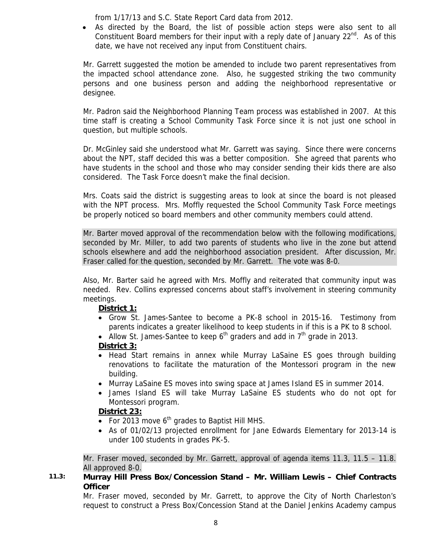from 1/17/13 and S.C. State Report Card data from 2012.

• As directed by the Board, the list of possible action steps were also sent to all Constituent Board members for their input with a reply date of January  $22^{nd}$ . As of this date, we have not received any input from Constituent chairs.

Mr. Garrett suggested the motion be amended to include two parent representatives from the impacted school attendance zone. Also, he suggested striking the two community persons and one business person and adding the neighborhood representative or designee.

Mr. Padron said the Neighborhood Planning Team process was established in 2007. At this time staff is creating a School Community Task Force since it is not just one school in question, but multiple schools.

Dr. McGinley said she understood what Mr. Garrett was saying. Since there were concerns about the NPT, staff decided this was a better composition. She agreed that parents who have students in the school and those who may consider sending their kids there are also considered. The Task Force doesn't make the final decision.

Mrs. Coats said the district is suggesting areas to look at since the board is not pleased with the NPT process. Mrs. Moffly requested the School Community Task Force meetings be properly noticed so board members and other community members could attend.

Mr. Barter moved approval of the recommendation below with the following modifications, seconded by Mr. Miller, to add two parents of students who live in the zone but attend schools elsewhere and add the neighborhood association president. After discussion, Mr. Fraser called for the question, seconded by Mr. Garrett. The vote was 8-0.

Also, Mr. Barter said he agreed with Mrs. Moffly and reiterated that community input was needed. Rev. Collins expressed concerns about staff's involvement in steering community meetings.

#### **District 1:**

- Grow St. James-Santee to become a PK-8 school in 2015-16. Testimony from parents indicates a greater likelihood to keep students in if this is a PK to 8 school.
- Allow St. James-Santee to keep  $6<sup>th</sup>$  graders and add in  $7<sup>th</sup>$  grade in 2013.

#### **District 3:**

- Head Start remains in annex while Murray LaSaine ES goes through building renovations to facilitate the maturation of the Montessori program in the new building.
- Murray LaSaine ES moves into swing space at James Island ES in summer 2014.
- James Island ES will take Murray LaSaine ES students who do not opt for Montessori program.

#### **District 23:**

- For 2013 move  $6<sup>th</sup>$  grades to Baptist Hill MHS.
- As of 01/02/13 projected enrollment for Jane Edwards Elementary for 2013-14 is under 100 students in grades PK-5.

Mr. Fraser moved, seconded by Mr. Garrett, approval of agenda items 11.3, 11.5 – 11.8. All approved 8-0.

#### **11.3: Murray Hill Press Box/Concession Stand – Mr. William Lewis – Chief Contracts Officer**

Mr. Fraser moved, seconded by Mr. Garrett, to approve the City of North Charleston's request to construct a Press Box/Concession Stand at the Daniel Jenkins Academy campus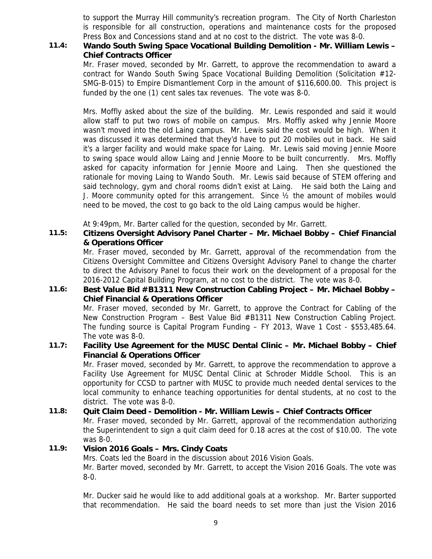to support the Murray Hill community's recreation program. The City of North Charleston is responsible for all construction, operations and maintenance costs for the proposed Press Box and Concessions stand and at no cost to the district. The vote was 8-0.

#### **11.4: Wando South Swing Space Vocational Building Demolition - Mr. William Lewis – Chief Contracts Officer**

Mr. Fraser moved, seconded by Mr. Garrett, to approve the recommendation to award a contract for Wando South Swing Space Vocational Building Demolition (Solicitation #12- SMG-B-015) to Empire Dismantlement Corp in the amount of \$116,600.00. This project is funded by the one (1) cent sales tax revenues. The vote was 8-0.

Mrs. Moffly asked about the size of the building. Mr. Lewis responded and said it would allow staff to put two rows of mobile on campus. Mrs. Moffly asked why Jennie Moore wasn't moved into the old Laing campus. Mr. Lewis said the cost would be high. When it was discussed it was determined that they'd have to put 20 mobiles out in back. He said it's a larger facility and would make space for Laing. Mr. Lewis said moving Jennie Moore to swing space would allow Laing and Jennie Moore to be built concurrently. Mrs. Moffly asked for capacity information for Jennie Moore and Laing. Then she questioned the rationale for moving Laing to Wando South. Mr. Lewis said because of STEM offering and said technology, gym and choral rooms didn't exist at Laing. He said both the Laing and J. Moore community opted for this arrangement. Since ½ the amount of mobiles would need to be moved, the cost to go back to the old Laing campus would be higher.

At 9:49pm, Mr. Barter called for the question, seconded by Mr. Garrett.

## **11.5: Citizens Oversight Advisory Panel Charter – Mr. Michael Bobby – Chief Financial & Operations Officer**

Mr. Fraser moved, seconded by Mr. Garrett, approval of the recommendation from the Citizens Oversight Committee and Citizens Oversight Advisory Panel to change the charter to direct the Advisory Panel to focus their work on the development of a proposal for the 2016-2012 Capital Building Program, at no cost to the district. The vote was 8-0.

## **11.6: Best Value Bid #B1311 New Construction Cabling Project – Mr. Michael Bobby – Chief Financial & Operations Officer**

Mr. Fraser moved, seconded by Mr. Garrett, to approve the Contract for Cabling of the New Construction Program – Best Value Bid #B1311 New Construction Cabling Project. The funding source is Capital Program Funding – FY 2013, Wave 1 Cost - \$553,485.64. The vote was 8-0.

## **11.7: Facility Use Agreement for the MUSC Dental Clinic – Mr. Michael Bobby – Chief Financial & Operations Officer**

Mr. Fraser moved, seconded by Mr. Garrett, to approve the recommendation to approve a Facility Use Agreement for MUSC Dental Clinic at Schroder Middle School. This is an opportunity for CCSD to partner with MUSC to provide much needed dental services to the local community to enhance teaching opportunities for dental students, at no cost to the district. The vote was 8-0.

## **11.8: Quit Claim Deed - Demolition - Mr. William Lewis – Chief Contracts Officer**

Mr. Fraser moved, seconded by Mr. Garrett, approval of the recommendation authorizing the Superintendent to sign a quit claim deed for 0.18 acres at the cost of \$10.00. The vote was 8-0.

#### **11.9: Vision 2016 Goals – Mrs. Cindy Coats**

Mrs. Coats led the Board in the discussion about 2016 Vision Goals. Mr. Barter moved, seconded by Mr. Garrett, to accept the Vision 2016 Goals. The vote was 8-0.

Mr. Ducker said he would like to add additional goals at a workshop. Mr. Barter supported that recommendation. He said the board needs to set more than just the Vision 2016